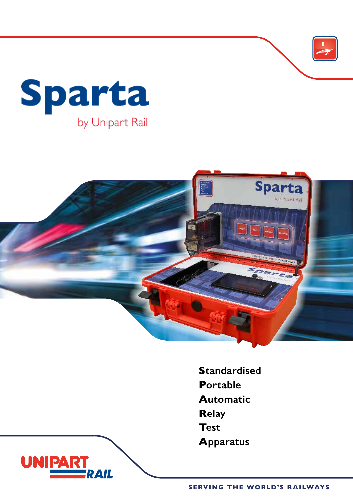





**Standardised Portable Automatic** Relay **Test Apparatus**